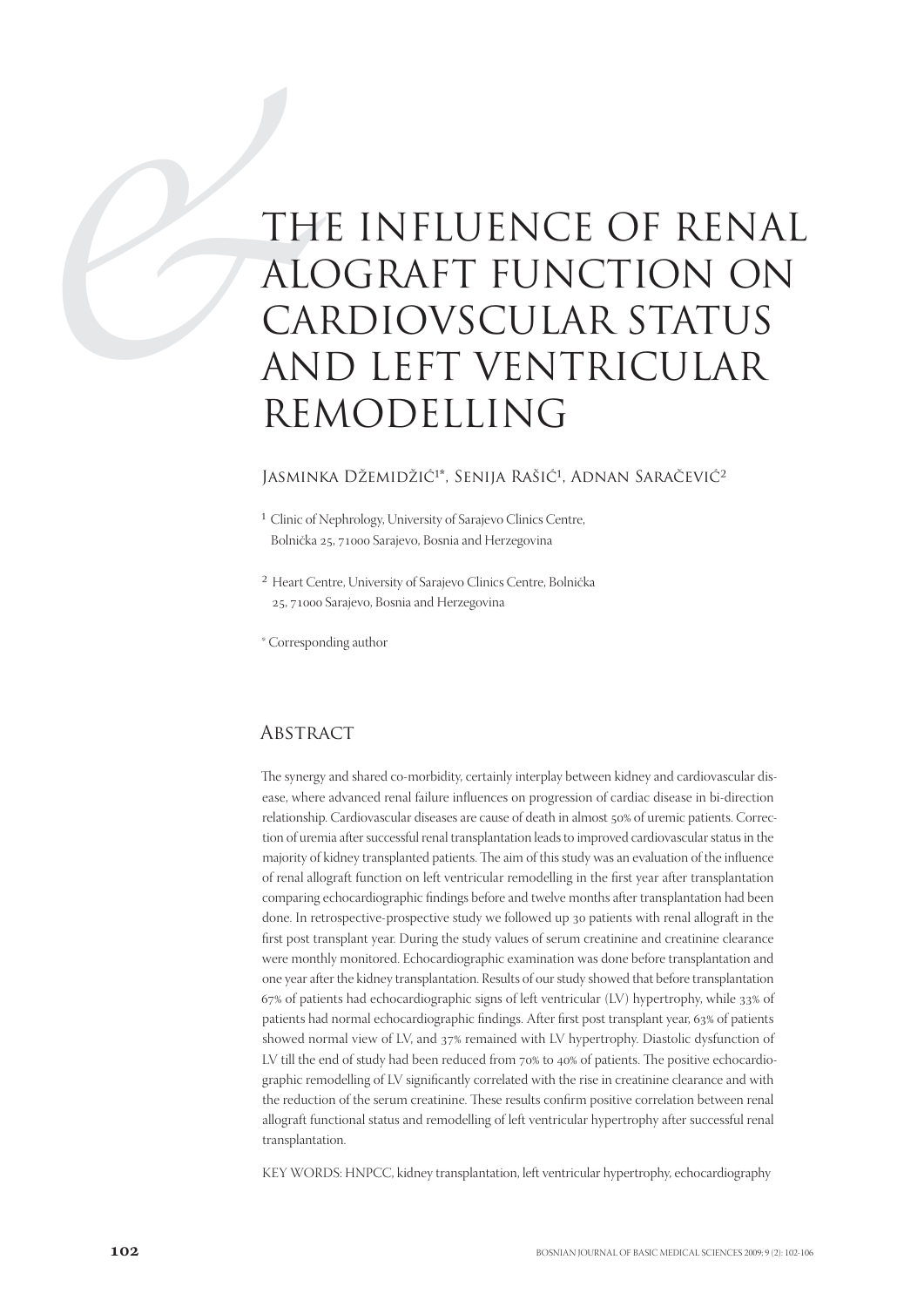# TH ALC<br>CALC<br>CALC<br>AN<br>REM THE INFLUENCE OF RENAL ALOGRAFT FUNCTION ON CARDIOVSCULAR STATUS AND LEFT VENTRICULAR REMODELLING

#### Jasminka Džemidžić<sup>1\*</sup>, Senija Rašić<sup>1</sup>, Adnan Saračević<sup>2</sup>

- <sup>1</sup> Clinic of Nephrology, University of Sarajevo Clinics Centre, Bolnička 25, 71000 Sarajevo, Bosnia and Herzegovina
- ² Heart Centre, University of Sarajevo Clinics Centre, Bolnička 25, 71000 Sarajevo, Bosnia and Herzegovina

\* Corresponding author

#### **ABSTRACT**

The synergy and shared co-morbidity, certainly interplay between kidney and cardiovascular disease, where advanced renal failure influences on progression of cardiac disease in bi-direction relationship. Cardiovascular diseases are cause of death in almost 50% of uremic patients. Correction of uremia after successful renal transplantation leads to improved cardiovascular status in the majority of kidney transplanted patients. The aim of this study was an evaluation of the influence of renal allograft function on left ventricular remodelling in the first year after transplantation comparing echocardiographic findings before and twelve months after transplantation had been done. In retrospective-prospective study we followed up 30 patients with renal allograft in the first post transplant year. During the study values of serum creatinine and creatinine clearance were monthly monitored. Echocardiographic examination was done before transplantation and one year after the kidney transplantation. Results of our study showed that before transplantation  $67\%$  of patients had echocardiographic signs of left ventricular (LV) hypertrophy, while  $33\%$  of patients had normal echocardiographic findings. After first post transplant year, 63% of patients showed normal view of LV, and  $37\%$  remained with LV hypertrophy. Diastolic dysfunction of LV till the end of study had been reduced from  $70\%$  to  $40\%$  of patients. The positive echocardiographic remodelling of LV significantly correlated with the rise in creatinine clearance and with the reduction of the serum creatinine. These results confirm positive correlation between renal allograft functional status and remodelling of left ventricular hypertrophy after successful renal transplantation.

KEY WORDS: HNPCC, kidney transplantation, left ventricular hypertrophy, echocardiography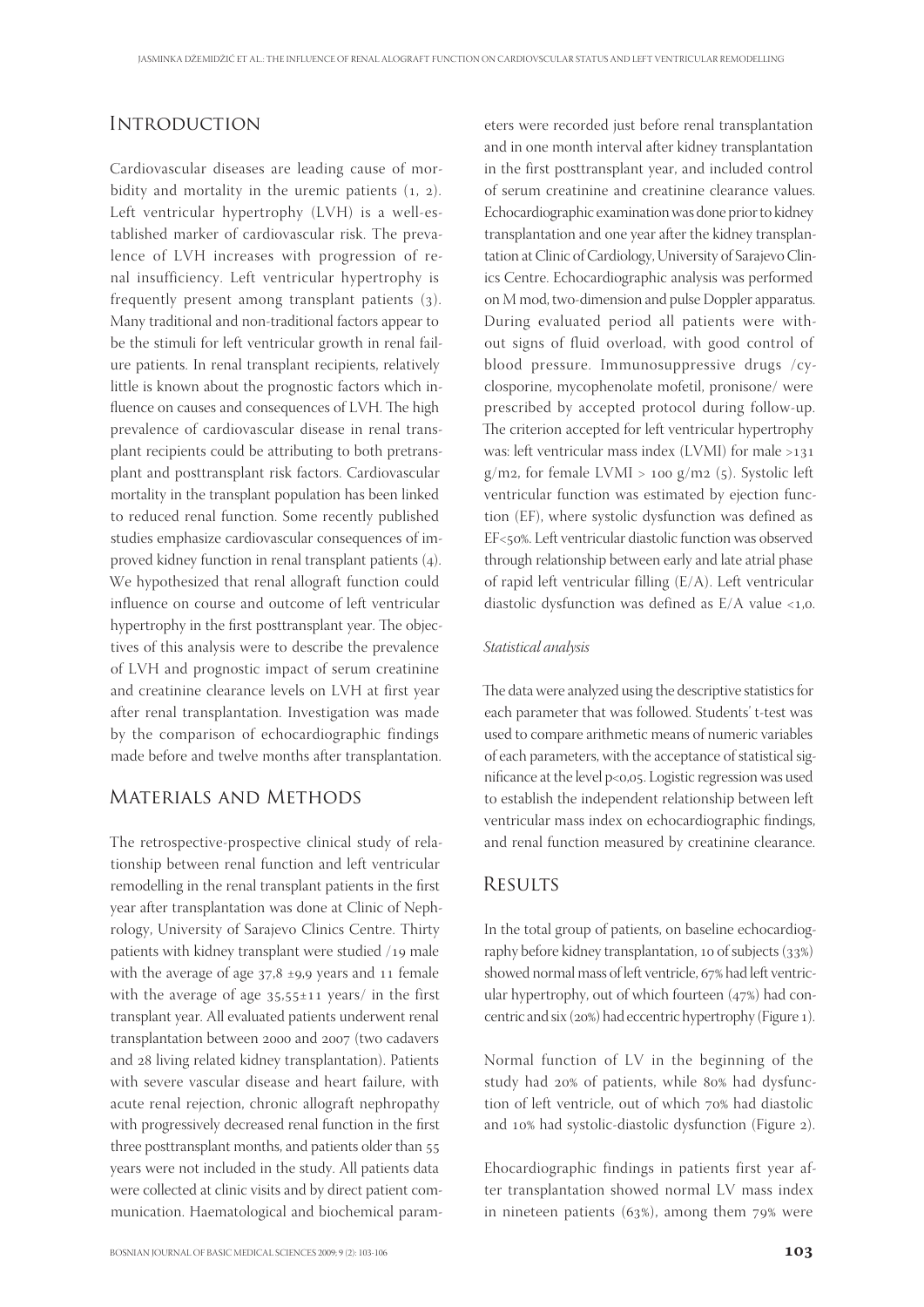## **INTRODUCTION**

Cardiovascular diseases are leading cause of morbidity and mortality in the uremic patients  $(1, 2)$ . Left ventricular hypertrophy (LVH) is a well-established marker of cardiovascular risk. The prevalence of LVH increases with progression of renal insufficiency. Left ventricular hypertrophy is frequently present among transplant patients  $(3)$ . Many traditional and non-traditional factors appear to be the stimuli for left ventricular growth in renal failure patients. In renal transplant recipients, relatively little is known about the prognostic factors which influence on causes and consequences of LVH. The high prevalence of cardiovascular disease in renal transplant recipients could be attributing to both pretransplant and posttransplant risk factors. Cardiovascular mortality in the transplant population has been linked to reduced renal function. Some recently published studies emphasize cardiovascular consequences of improved kidney function in renal transplant patients (4). We hypothesized that renal allograft function could influence on course and outcome of left ventricular hypertrophy in the first posttransplant year. The objectives of this analysis were to describe the prevalence of LVH and prognostic impact of serum creatinine and creatinine clearance levels on LVH at first year after renal transplantation. Investigation was made by the comparison of echocardiographic findings made before and twelve months after transplantation.

#### Materials and Methods

The retrospective-prospective clinical study of relationship between renal function and left ventricular remodelling in the renal transplant patients in the first year after transplantation was done at Clinic of Nephrology, University of Sarajevo Clinics Centre. Thirty patients with kidney transplant were studied /19 male with the average of age  $37.8 \pm 9.9$  years and 11 female with the average of age  $35.55 \pm 11$  years/ in the first transplant year. All evaluated patients underwent renal transplantation between 2000 and 2007 (two cadavers and 28 living related kidney transplantation). Patients with severe vascular disease and heart failure, with acute renal rejection, chronic allograft nephropathy with progressively decreased renal function in the first three posttransplant months, and patients older than 55 years were not included in the study. All patients data were collected at clinic visits and by direct patient communication. Haematological and biochemical parameters were recorded just before renal transplantation and in one month interval after kidney transplantation in the first posttransplant year, and included control of serum creatinine and creatinine clearance values. Echocardiographic examination was done prior to kidney transplantation and one year after the kidney transplantation at Clinic of Cardiology, University of Sarajevo Clinics Centre. Echocardiographic analysis was performed on M mod, two-dimension and pulse Doppler apparatus. During evaluated period all patients were without signs of fluid overload, with good control of blood pressure. Immunosuppressive drugs /cyclosporine, mycophenolate mofetil, pronisone/ were prescribed by accepted protocol during follow-up. The criterion accepted for left ventricular hypertrophy was: left ventricular mass index  $(LVMI)$  for male  $>131$ g/m2, for female LVMI >  $100$  g/m2 (5). Systolic left ventricular function was estimated by ejection function (EF), where systolic dysfunction was defined as EF<50%. Left ventricular diastolic function was observed through relationship between early and late atrial phase of rapid left ventricular filling (E/A). Left ventricular diastolic dysfunction was defined as  $E/A$  value <1,0.

#### Statistical analysis

The data were analyzed using the descriptive statistics for each parameter that was followed. Students' t-test was used to compare arithmetic means of numeric variables of each parameters, with the acceptance of statistical significance at the level p<0,05. Logistic regression was used to establish the independent relationship between left ventricular mass index on echocardiographic findings, and renal function measured by creatinine clearance.

#### **RESULTS**

In the total group of patients, on baseline echocardiography before kidney transplantation, 10 of subjects (33%) showed normal mass of left ventricle, 67% had left ventricular hypertrophy, out of which fourteen  $(47%)$  had concentric and six (20%) had eccentric hypertrophy (Figure 1).

Normal function of LV in the beginning of the study had 20% of patients, while 80% had dysfunction of left ventricle, out of which 70% had diastolic and 10% had systolic-diastolic dysfunction (Figure 2).

Ehocardiographic findings in patients first year after transplantation showed normal LV mass index in nineteen patients  $(63%)$ , among them  $79%$  were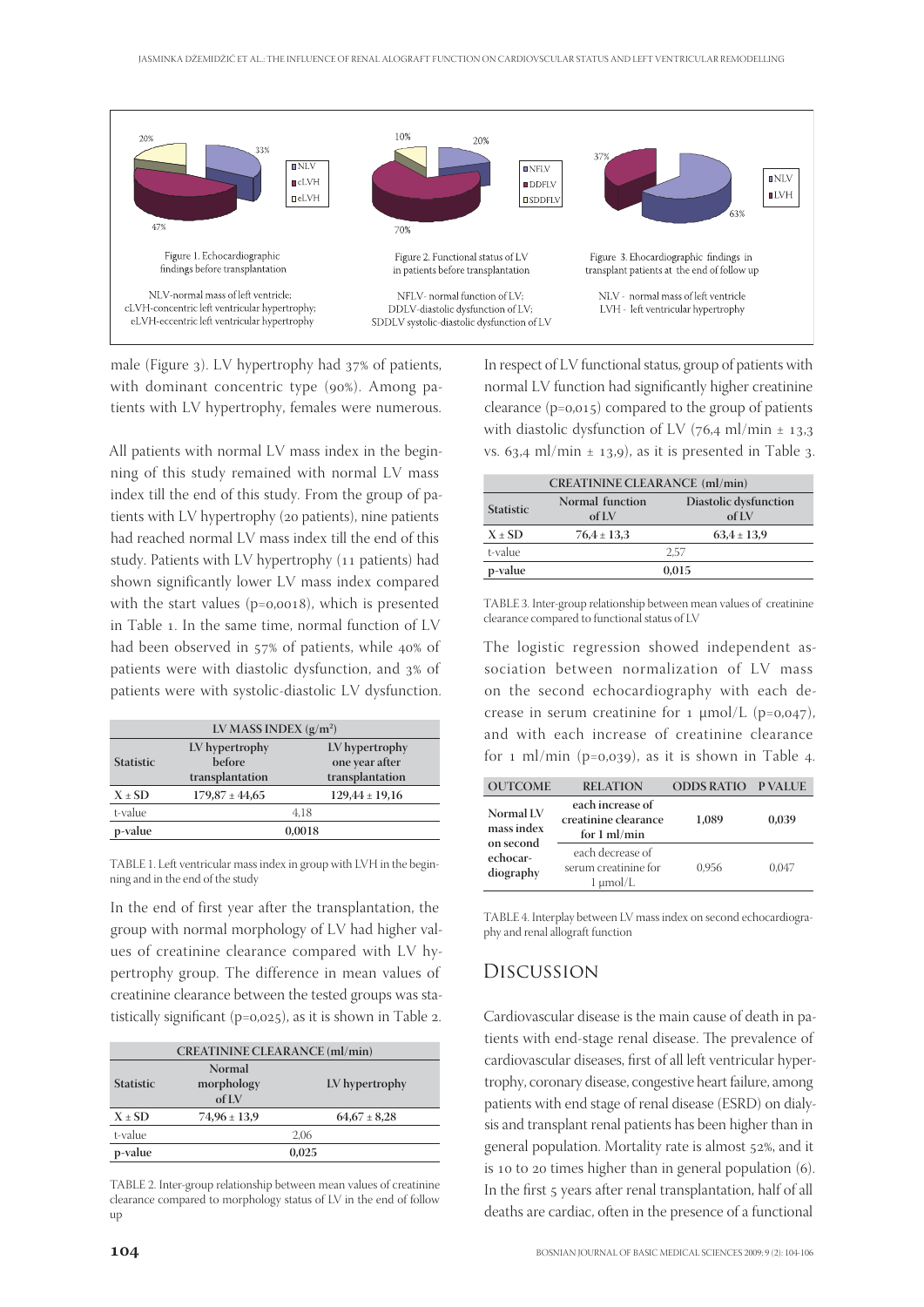

male (Figure  $_3$ ). LV hypertrophy had  $_37\%$  of patients, with dominant concentric type (90%). Among patients with LV hypertrophy, females were numerous.

All patients with normal LV mass index in the beginning of this study remained with normal LV mass index till the end of this study. From the group of patients with LV hypertrophy (20 patients), nine patients had reached normal LV mass index till the end of this study. Patients with LV hypertrophy (11 patients) had shown significantly lower LV mass index compared with the start values ( $p=0,0018$ ), which is presented in Table 1. In the same time, normal function of LV had been observed in 57% of patients, while 40% of patients were with diastolic dysfunction, and 3% of patients were with systolic-diastolic LV dysfunction.

| LV MASS INDEX $(g/m^2)$ |                                                    |                                                     |  |
|-------------------------|----------------------------------------------------|-----------------------------------------------------|--|
| <b>Statistic</b>        | LV hypertrophy<br><b>before</b><br>transplantation | LV hypertrophy<br>one year after<br>transplantation |  |
| $X \pm SD$              | $179,87 \pm 44,65$                                 | $129,44 \pm 19,16$                                  |  |
| t-value                 |                                                    | 4.18                                                |  |
| p-value                 |                                                    | 0.0018                                              |  |

TABLE 1. Left ventricular mass index in group with LVH in the beginning and in the end of the study

In the end of first year after the transplantation, the group with normal morphology of LV had higher values of creatinine clearance compared with LV hypertrophy group. The difference in mean values of creatinine clearance between the tested groups was statistically significant ( $p=0,025$ ), as it is shown in Table 2.

| <b>CREATININE CLEARANCE (ml/min)</b> |                               |                  |  |
|--------------------------------------|-------------------------------|------------------|--|
| <b>Statistic</b>                     | Normal<br>morphology<br>of IX | LV hypertrophy   |  |
| $X \pm SD$                           | $74,96 \pm 13,9$              | $64,67 \pm 8,28$ |  |
| t-value                              |                               | 2.06             |  |
| p-value                              |                               | 0,025            |  |

TABLE 2. Inter-group relationship between mean values of creatinine clearance compared to morphology status of LV in the end of follow up

In respect of LV functional status, group of patients with normal LV function had significantly higher creatinine clearance  $(p=0,015)$  compared to the group of patients with diastolic dysfunction of LV (76,4 ml/min  $\pm$  13,3 vs. 63,4 ml/min  $\pm$  13,9), as it is presented in Table 3.

| <b>CREATININE CLEARANCE</b> (ml/min) |                          |                                |  |
|--------------------------------------|--------------------------|--------------------------------|--|
| <b>Statistic</b>                     | Normal function<br>of LV | Diastolic dysfunction<br>of IX |  |
| $X \pm SD$                           | $76.4 \pm 13.3$          | $63,4 \pm 13,9$                |  |
| t-value                              | 2.57                     |                                |  |
| p-value                              | 0,015                    |                                |  |

TABLE 3. Inter-group relationship between mean values of creatinine clearance compared to functional status of LV

The logistic regression showed independent association between normalization of LV mass on the second echocardiography with each decrease in serum creatinine for  $1 \mu \text{mol/L}$  (p=0,047), and with each increase of creatinine clearance for  $1 \text{ ml/min}$  (p=0,039), as it is shown in Table 4.

| <b>OUTCOME</b>                                                | <b>RELATION</b>                                                    | <b>ODDS RATIO P VALUE</b> |       |
|---------------------------------------------------------------|--------------------------------------------------------------------|---------------------------|-------|
| Normal LV<br>mass index<br>on second<br>echocar-<br>diography | each increase of<br>creatinine clearance<br>for $1 \text{ ml/min}$ | 1.089                     | 0.039 |
|                                                               | each decrease of<br>serum creatinine for<br>1 µmol/L               | 0.956                     | 0.047 |

TABLE 4. Interplay between LV mass index on second echocardiography and renal allograft function

### Discussion

Cardiovascular disease is the main cause of death in patients with end-stage renal disease. The prevalence of cardiovascular diseases, first of all left ventricular hypertrophy, coronary disease, congestive heart failure, among patients with end stage of renal disease (ESRD) on dialysis and transplant renal patients has been higher than in general population. Mortality rate is almost 52%, and it is 10 to 20 times higher than in general population  $(6)$ . In the first 5 years after renal transplantation, half of all deaths are cardiac, often in the presence of a functional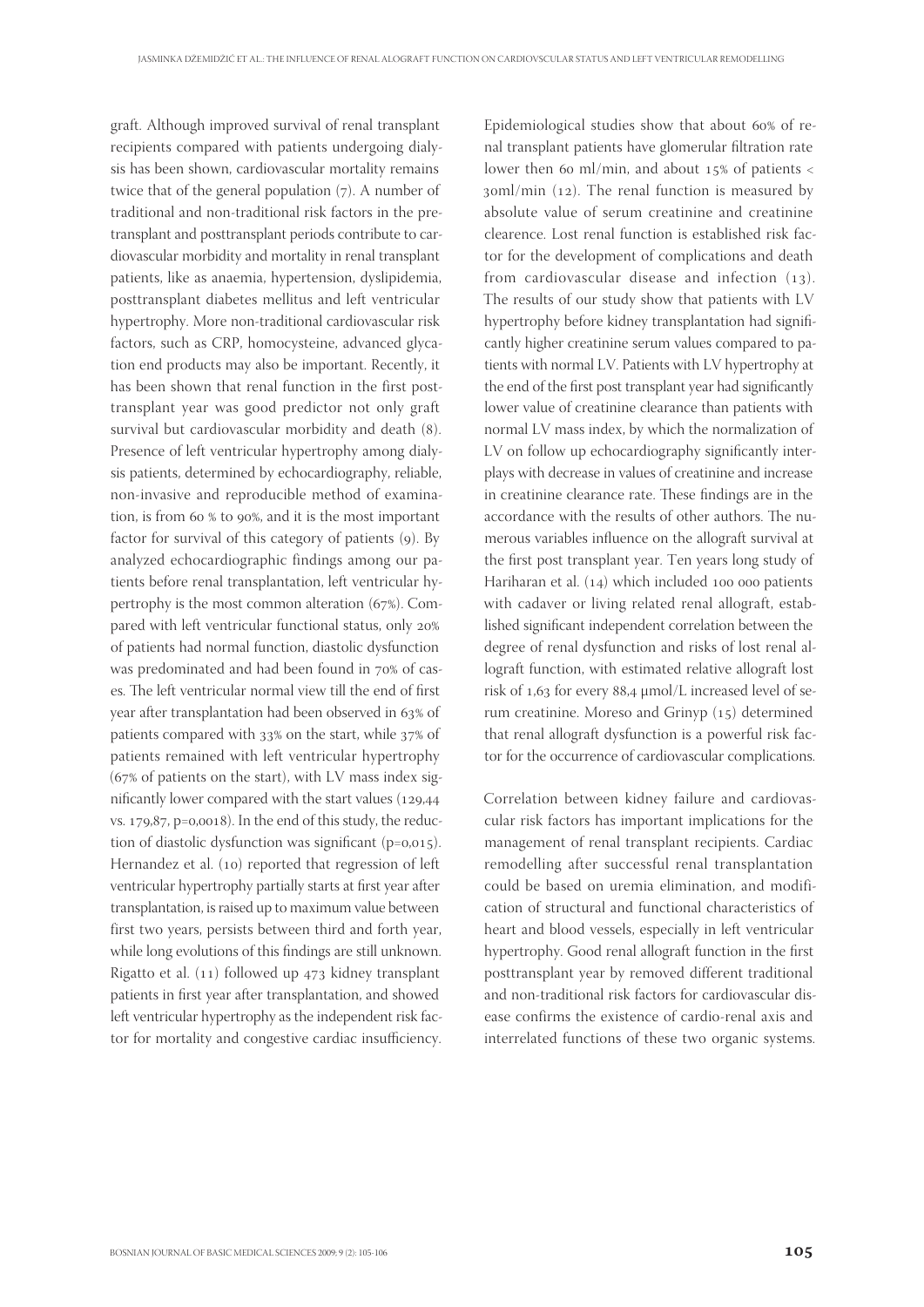graft. Although improved survival of renal transplant recipients compared with patients undergoing dialysis has been shown, cardiovascular mortality remains twice that of the general population  $(7)$ . A number of traditional and non-traditional risk factors in the pretransplant and posttransplant periods contribute to cardiovascular morbidity and mortality in renal transplant patients, like as anaemia, hypertension, dyslipidemia, posttransplant diabetes mellitus and left ventricular hypertrophy. More non-traditional cardiovascular risk factors, such as CRP, homocysteine, advanced glycation end products may also be important. Recently, it has been shown that renal function in the first posttransplant year was good predictor not only graft survival but cardiovascular morbidity and death (8). Presence of left ventricular hypertrophy among dialysis patients, determined by echocardiography, reliable, non-invasive and reproducible method of examination, is from  $60 %$  to 90%, and it is the most important factor for survival of this category of patients  $(q)$ . By analyzed echocardiographic findings among our patients before renal transplantation, left ventricular hypertrophy is the most common alteration  $(67%)$ . Compared with left ventricular functional status, only of patients had normal function, diastolic dysfunction was predominated and had been found in 70% of cases. The left ventricular normal view till the end of first year after transplantation had been observed in 63% of patients compared with  $33\%$  on the start, while  $37\%$  of patients remained with left ventricular hypertrophy ( $67\%$  of patients on the start), with LV mass index significantly lower compared with the start values  $(129,44)$ vs.  $179,87$ , p=0,0018). In the end of this study, the reduction of diastolic dysfunction was significant  $(p=0.015)$ . Hernandez et al. (10) reported that regression of left ventricular hypertrophy partially starts at first year after transplantation, is raised up to maximum value between first two years, persists between third and forth year, while long evolutions of this findings are still unknown. Rigatto et al.  $(11)$  followed up  $473$  kidney transplant patients in first year after transplantation, and showed left ventricular hypertrophy as the independent risk factor for mortality and congestive cardiac insufficiency.

Epidemiological studies show that about 60% of renal transplant patients have glomerular filtration rate lower then 60 ml/min, and about  $15\%$  of patients <  $a_1$  soml/min (12). The renal function is measured by absolute value of serum creatinine and creatinine clearence. Lost renal function is established risk factor for the development of complications and death from cardiovascular disease and infection  $(13)$ . The results of our study show that patients with LV hypertrophy before kidney transplantation had significantly higher creatinine serum values compared to patients with normal LV. Patients with LV hypertrophy at the end of the first post transplant year had significantly lower value of creatinine clearance than patients with normal LV mass index, by which the normalization of LV on follow up echocardiography significantly interplays with decrease in values of creatinine and increase in creatinine clearance rate. These findings are in the accordance with the results of other authors. The numerous variables influence on the allograft survival at the first post transplant year. Ten years long study of Hariharan et al.  $(14)$  which included 100 000 patients with cadaver or living related renal allograft, established significant independent correlation between the degree of renal dysfunction and risks of lost renal allograft function, with estimated relative allograft lost risk of  $1,63$  for every 88,4  $\mu$ mol/L increased level of serum creatinine. Moreso and Grinyp  $(15)$  determined that renal allograft dysfunction is a powerful risk factor for the occurrence of cardiovascular complications.

Correlation between kidney failure and cardiovascular risk factors has important implications for the management of renal transplant recipients. Cardiac remodelling after successful renal transplantation could be based on uremia elimination, and modification of structural and functional characteristics of heart and blood vessels, especially in left ventricular hypertrophy. Good renal allograft function in the first posttransplant year by removed different traditional and non-traditional risk factors for cardiovascular disease confirms the existence of cardio-renal axis and interrelated functions of these two organic systems.